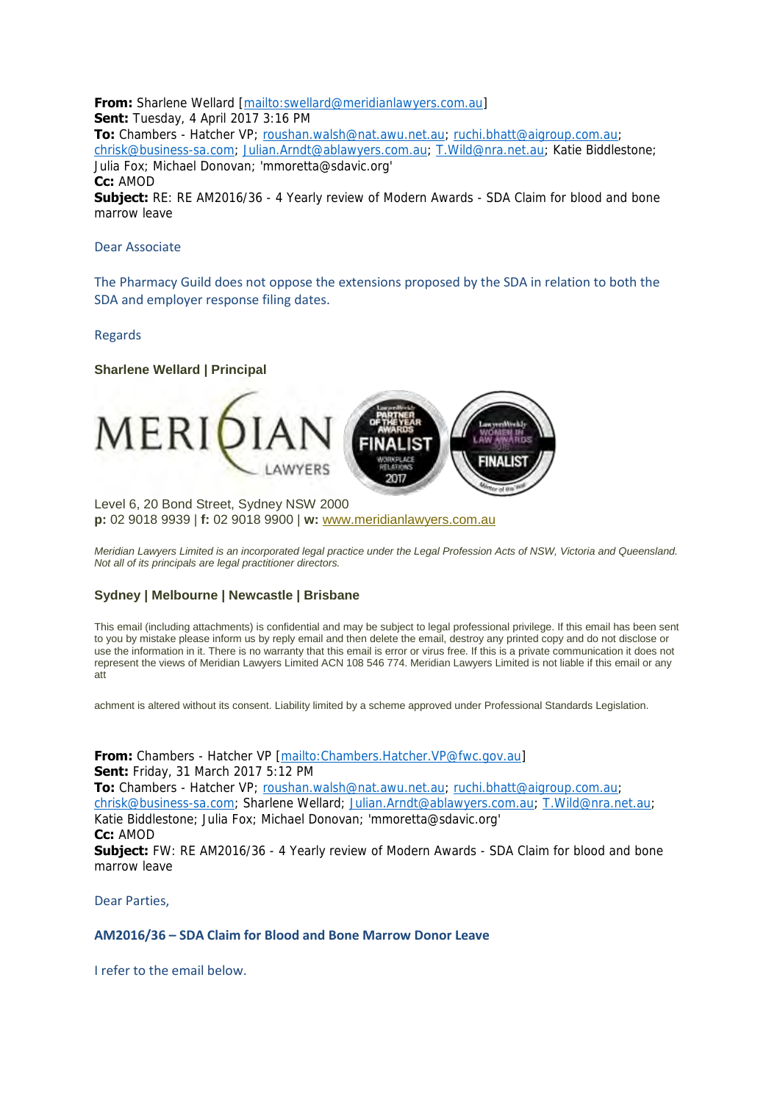**From:** Sharlene Wellard [\[mailto:swellard@meridianlawyers.com.au\]](mailto:swellard@meridianlawyers.com.au) **Sent:** Tuesday, 4 April 2017 3:16 PM To: Chambers - Hatcher VP; [roushan.walsh@nat.awu.net.au;](mailto:roushan.walsh@nat.awu.net.au) [ruchi.bhatt@aigroup.com.au;](mailto:ruchi.bhatt@aigroup.com.au) [chrisk@business-sa.com;](mailto:chrisk@business-sa.com) [Julian.Arndt@ablawyers.com.au;](mailto:Julian.Arndt@ablawyers.com.au) [T.Wild@nra.net.au;](mailto:T.Wild@nra.net.au) Katie Biddlestone; Julia Fox; Michael Donovan; 'mmoretta@sdavic.org' **Cc:** AMOD **Subject:** RE: RE AM2016/36 - 4 Yearly review of Modern Awards - SDA Claim for blood and bone marrow leave

## Dear Associate

The Pharmacy Guild does not oppose the extensions proposed by the SDA in relation to both the SDA and employer response filing dates.

## Regards

**Sharlene Wellard | Principal** Level 6, 20 Bond Street, Sydney NSW 2000

**p:** 02 9018 9939 | **f:** 02 9018 9900 | **w:** [www.meridianlawyers.com.au](http://www.meridianlawyers.com.au/)

*Meridian Lawyers Limited is an incorporated legal practice under the Legal Profession Acts of NSW, Victoria and Queensland. Not all of its principals are legal practitioner directors.* 

## **Sydney | Melbourne | Newcastle | Brisbane**

This email (including attachments) is confidential and may be subject to legal professional privilege. If this email has been sent to you by mistake please inform us by reply email and then delete the email, destroy any printed copy and do not disclose or use the information in it. There is no warranty that this email is error or virus free. If this is a private communication it does not represent the views of Meridian Lawyers Limited ACN 108 546 774. Meridian Lawyers Limited is not liable if this email or any att

achment is altered without its consent. Liability limited by a scheme approved under Professional Standards Legislation.

**From:** Chambers - Hatcher VP [\[mailto:Chambers.Hatcher.VP@fwc.gov.au\]](mailto:Chambers.Hatcher.VP@fwc.gov.au) **Sent:** Friday, 31 March 2017 5:12 PM **To:** Chambers - Hatcher VP; [roushan.walsh@nat.awu.net.au;](mailto:roushan.walsh@nat.awu.net.au) [ruchi.bhatt@aigroup.com.au;](mailto:ruchi.bhatt@aigroup.com.au) [chrisk@business-sa.com;](mailto:chrisk@business-sa.com) Sharlene Wellard; [Julian.Arndt@ablawyers.com.au;](mailto:Julian.Arndt@ablawyers.com.au) [T.Wild@nra.net.au;](mailto:T.Wild@nra.net.au) Katie Biddlestone; Julia Fox; Michael Donovan; 'mmoretta@sdavic.org' **Cc:** AMOD **Subject:** FW: RE AM2016/36 - 4 Yearly review of Modern Awards - SDA Claim for blood and bone marrow leave

Dear Parties,

## **AM2016/36 – SDA Claim for Blood and Bone Marrow Donor Leave**

I refer to the email below.